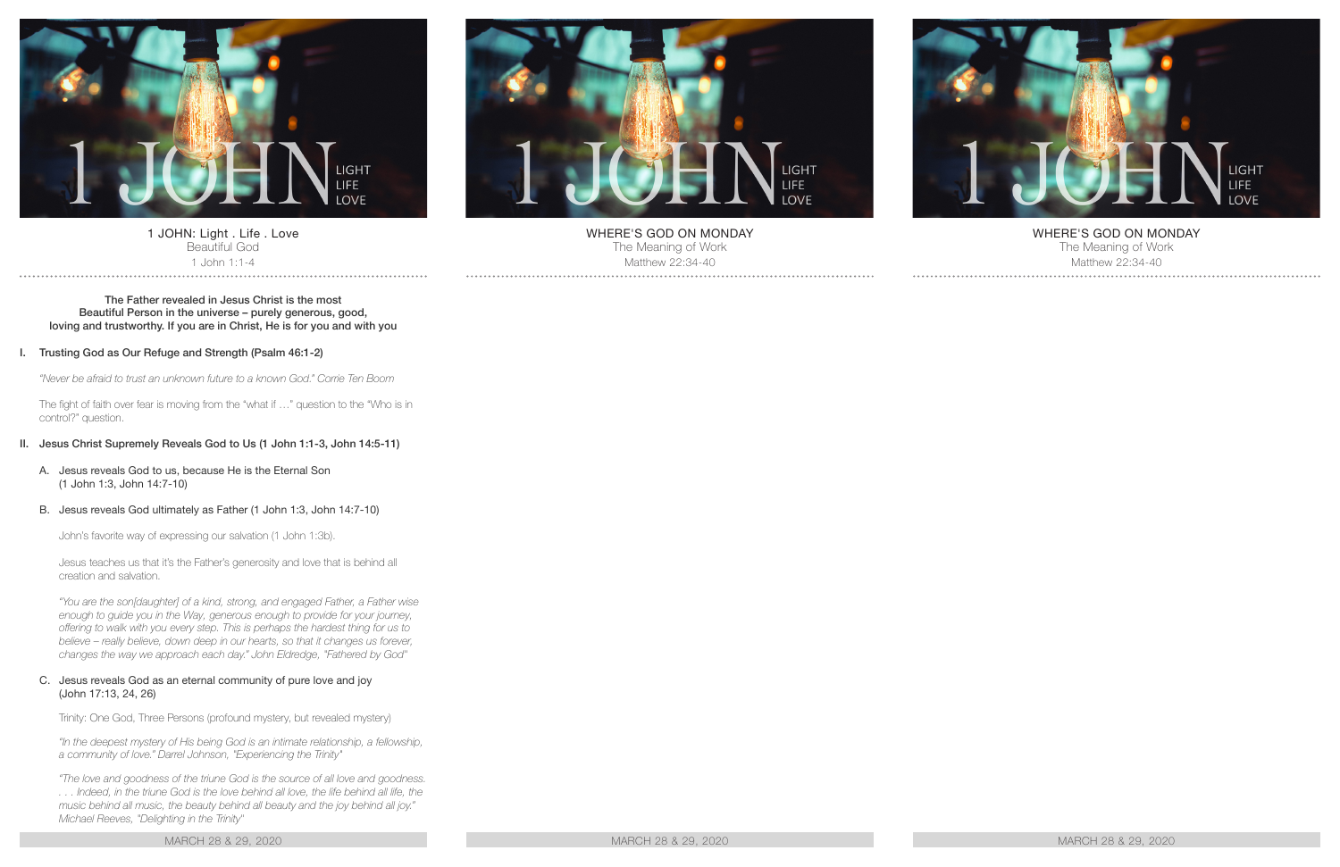

1 JOHN: Light . Life . Love Beautiful God 1 John 1:1-4

#### The Father revealed in Jesus Christ is the most Beautiful Person in the universe – purely generous, good, loving and trustworthy. If you are in Christ, He is for you and with you

### I. Trusting God as Our Refuge and Strength (Psalm 46:1-2)

*"Never be afraid to trust an unknown future to a known God." Corrie Ten Boom*

The fight of faith over fear is moving from the "what if …" question to the "Who is in control?" question.

### II. Jesus Christ Supremely Reveals God to Us (1 John 1:1-3, John 14:5-11)

A. Jesus reveals God to us, because He is the Eternal Son (1 John 1:3, John 14:7-10)

#### B. Jesus reveals God ultimately as Father (1 John 1:3, John 14:7-10)

John's favorite way of expressing our salvation (1 John 1:3b).

Jesus teaches us that it's the Father's generosity and love that is behind all creation and salvation.

*"You are the son[daughter] of a kind, strong, and engaged Father, a Father wise enough to guide you in the Way, generous enough to provide for your journey, offering to walk with you every step. This is perhaps the hardest thing for us to believe – really believe, down deep in our hearts, so that it changes us forever, changes the way we approach each day." John Eldredge, "Fathered by God"*

#### C. Jesus reveals God as an eternal community of pure love and joy (John 17:13, 24, 26)

Trinity: One God, Three Persons (profound mystery, but revealed mystery)

*"In the deepest mystery of His being God is an intimate relationship, a fellowship, a community of love." Darrel Johnson, "Experiencing the Trinity"*

*"The love and goodness of the triune God is the source of all love and goodness. . . . Indeed, in the triune God is the love behind all love, the life behind all life, the music behind all music, the beauty behind all beauty and the joy behind all joy." Michael Reeves, "Delighting in the Trinity"*

MARCH 28 & 29, 2020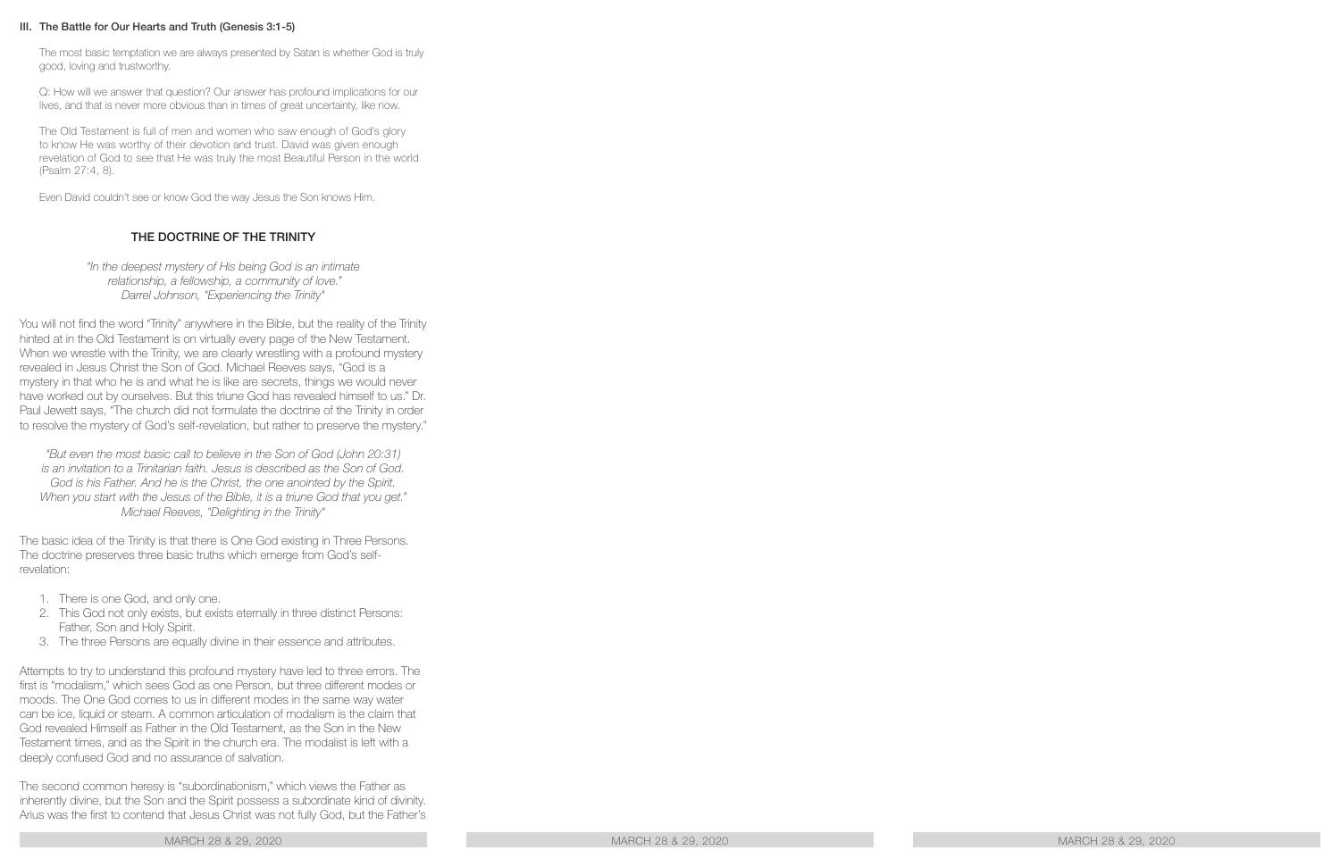## III. The Battle for Our Hearts and Truth (Genesis 3:1-5)

The most basic temptation we are always presented by Satan is whether God is truly good, loving and trustworthy.

Q: How will we answer that question? Our answer has profound implications for our lives, and that is never more obvious than in times of great uncertainty, like now.

The Old Testament is full of men and women who saw enough of God's glory to know He was worthy of their devotion and trust. David was given enough revelation of God to see that He was truly the most Beautiful Person in the world (Psalm 27:4, 8).

Even David couldn't see or know God the way Jesus the Son knows Him.

# THE DOCTRINE OF THE TRINITY

*"In the deepest mystery of His being God is an intimate relationship, a fellowship, a community of love." Darrel Johnson, "Experiencing the Trinity"*

You will not find the word "Trinity" anywhere in the Bible, but the reality of the Trinity hinted at in the Old Testament is on virtually every page of the New Testament. When we wrestle with the Trinity, we are clearly wrestling with a profound mystery revealed in Jesus Christ the Son of God. Michael Reeves says, "God is a mystery in that who he is and what he is like are secrets, things we would never have worked out by ourselves. But this triune God has revealed himself to us." Dr. Paul Jewett says, "The church did not formulate the doctrine of the Trinity in order to resolve the mystery of God's self-revelation, but rather to preserve the mystery."

*"But even the most basic call to believe in the Son of God (John 20:31) is an invitation to a Trinitarian faith. Jesus is described as the Son of God.*  God is his Father. And he is the Christ, the one anointed by the Spirit. *When you start with the Jesus of the Bible, it is a triune God that you get." Michael Reeves, "Delighting in the Trinity"*

The basic idea of the Trinity is that there is One God existing in Three Persons. The doctrine preserves three basic truths which emerge from God's selfrevelation:

- 1. There is one God, and only one.
- 2. This God not only exists, but exists eternally in three distinct Persons: Father, Son and Holy Spirit.
- 3. The three Persons are equally divine in their essence and attributes.

Attempts to try to understand this profound mystery have led to three errors. The first is "modalism," which sees God as one Person, but three different modes or moods. The One God comes to us in different modes in the same way water can be ice, liquid or steam. A common articulation of modalism is the claim that God revealed Himself as Father in the Old Testament, as the Son in the New Testament times, and as the Spirit in the church era. The modalist is left with a deeply confused God and no assurance of salvation.

The second common heresy is "subordinationism," which views the Father as inherently divine, but the Son and the Spirit possess a subordinate kind of divinity. Arius was the first to contend that Jesus Christ was not fully God, but the Father's